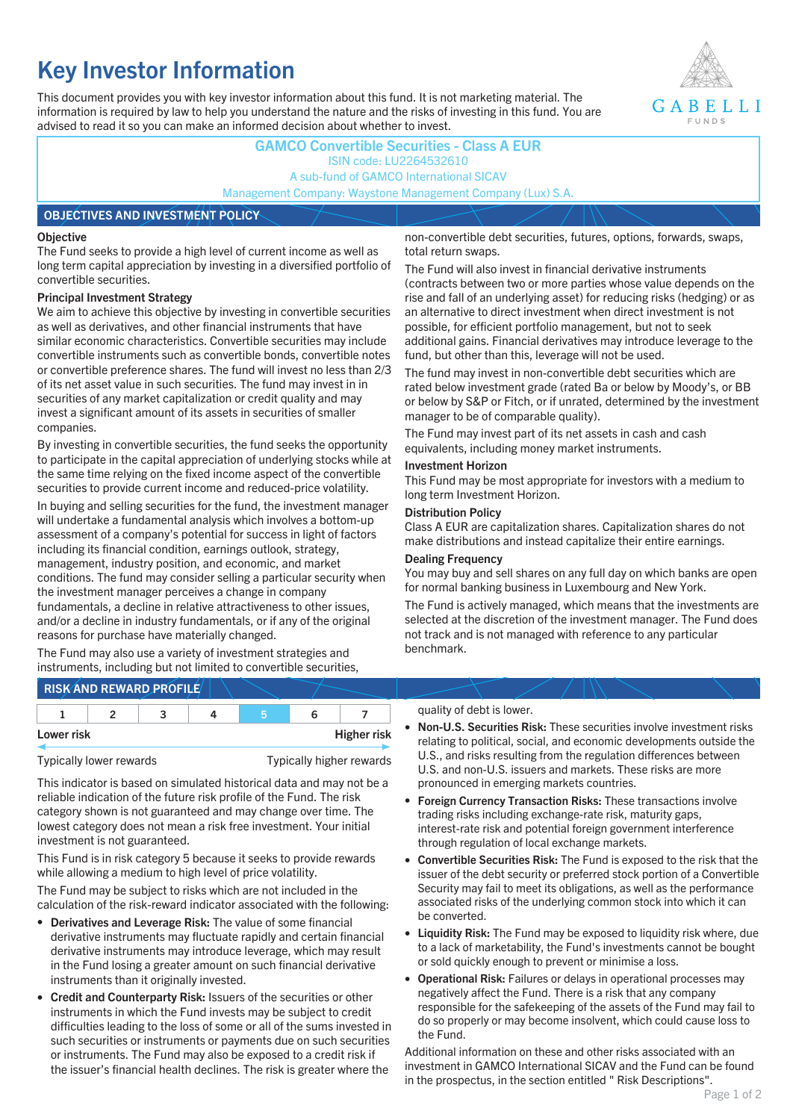# **Key Investor Information**

This document provides you with key investor information about this fund. It is not marketing material. The information is required by law to help you understand the nature and the risks of investing in this fund. You are advised to read it so you can make an informed decision about whether to invest.



### **GAMCO Convertible Securities - Class A EUR** ISIN code: LU2264532610 A sub-fund of GAMCO International SICAV Management Company: Waystone Management Company (Lux) S.A.

#### **OBJECTIVES AND INVESTMENT POLICY**

#### **Objective**

The Fund seeks to provide a high level of current income as well as long term capital appreciation by investing in a diversified portfolio of convertible securities.

#### **Principal Investment Strategy**

We aim to achieve this objective by investing in convertible securities as well as derivatives, and other financial instruments that have similar economic characteristics. Convertible securities may include convertible instruments such as convertible bonds, convertible notes or convertible preference shares. The fund will invest no less than 2/3 of its net asset value in such securities. The fund may invest in in securities of any market capitalization or credit quality and may invest a significant amount of its assets in securities of smaller companies.

By investing in convertible securities, the fund seeks the opportunity to participate in the capital appreciation of underlying stocks while at the same time relying on the fixed income aspect of the convertible securities to provide current income and reduced-price volatility.

In buying and selling securities for the fund, the investment manager will undertake a fundamental analysis which involves a bottom-up assessment of a company's potential for success in light of factors including its financial condition, earnings outlook, strategy, management, industry position, and economic, and market conditions. The fund may consider selling a particular security when the investment manager perceives a change in company fundamentals, a decline in relative attractiveness to other issues, and/or a decline in industry fundamentals, or if any of the original reasons for purchase have materially changed.

The Fund may also use a variety of investment strategies and instruments, including but not limited to convertible securities, non-convertible debt securities, futures, options, forwards, swaps, total return swaps.

The Fund will also invest in financial derivative instruments (contracts between two or more parties whose value depends on the rise and fall of an underlying asset) for reducing risks (hedging) or as an alternative to direct investment when direct investment is not possible, for efficient portfolio management, but not to seek additional gains. Financial derivatives may introduce leverage to the fund, but other than this, leverage will not be used.

The fund may invest in non-convertible debt securities which are rated below investment grade (rated Ba or below by Moody's, or BB or below by S&P or Fitch, or if unrated, determined by the investment manager to be of comparable quality).

The Fund may invest part of its net assets in cash and cash equivalents, including money market instruments.

#### **Investment Horizon**

This Fund may be most appropriate for investors with a medium to long term Investment Horizon.

#### **Distribution Policy**

Class A EUR are capitalization shares. Capitalization shares do not make distributions and instead capitalize their entire earnings.

#### **Dealing Frequency**

You may buy and sell shares on any full day on which banks are open for normal banking business in Luxembourg and New York.

The Fund is actively managed, which means that the investments are selected at the discretion of the investment manager. The Fund does not track and is not managed with reference to any particular benchmark.

## **RISK AND REWARD PROFILE**

|            |  | ∽ |  |                    |
|------------|--|---|--|--------------------|
| Lower risk |  |   |  | <b>Higher risk</b> |

Typically lower rewards Typically higher rewards

This indicator is based on simulated historical data and may not be a reliable indication of the future risk profile of the Fund. The risk category shown is not guaranteed and may change over time. The lowest category does not mean a risk free investment. Your initial investment is not guaranteed.

This Fund is in risk category 5 because it seeks to provide rewards while allowing a medium to high level of price volatility.

The Fund may be subject to risks which are not included in the calculation of the risk-reward indicator associated with the following:

- **Derivatives and Leverage Risk:** The value of some financial derivative instruments may fluctuate rapidly and certain financial derivative instruments may introduce leverage, which may result in the Fund losing a greater amount on such financial derivative instruments than it originally invested.
- **Credit and Counterparty Risk:** Issuers of the securities or other instruments in which the Fund invests may be subject to credit difficulties leading to the loss of some or all of the sums invested in such securities or instruments or payments due on such securities or instruments. The Fund may also be exposed to a credit risk if the issuer's financial health declines. The risk is greater where the

#### quality of debt is lower.

- **Non-U.S. Securities Risk:** These securities involve investment risks relating to political, social, and economic developments outside the U.S., and risks resulting from the regulation differences between U.S. and non-U.S. issuers and markets. These risks are more pronounced in emerging markets countries.
- **Foreign Currency Transaction Risks:** These transactions involve trading risks including exchange-rate risk, maturity gaps, interest-rate risk and potential foreign government interference through regulation of local exchange markets.
- **Convertible Securities Risk:** The Fund is exposed to the risk that the issuer of the debt security or preferred stock portion of a Convertible Security may fail to meet its obligations, as well as the performance associated risks of the underlying common stock into which it can be converted.
- **Liquidity Risk:** The Fund may be exposed to liquidity risk where, due to a lack of marketability, the Fund's investments cannot be bought or sold quickly enough to prevent or minimise a loss.
- **Operational Risk:** Failures or delays in operational processes may negatively affect the Fund. There is a risk that any company responsible for the safekeeping of the assets of the Fund may fail to do so properly or may become insolvent, which could cause loss to the Fund.

Additional information on these and other risks associated with an investment in GAMCO International SICAV and the Fund can be found in the prospectus, in the section entitled " Risk Descriptions".